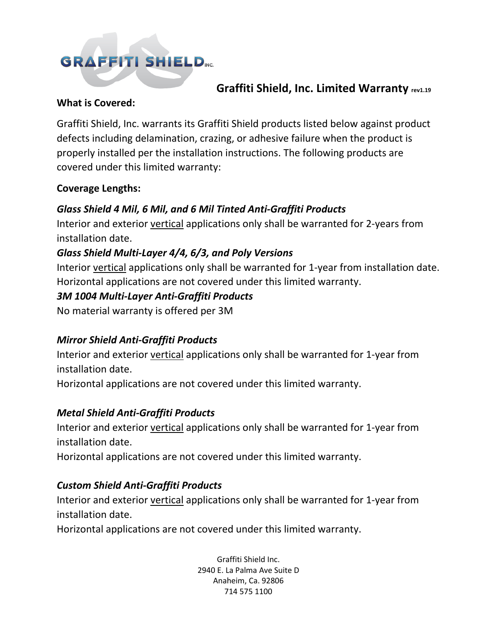# **GRAFFITI SHIELD.**

## **Graffiti Shield, Inc. Limited Warranty rev1.19**

#### **What is Covered:**

Graffiti Shield, Inc. warrants its Graffiti Shield products listed below against product defects including delamination, crazing, or adhesive failure when the product is properly installed per the installation instructions. The following products are covered under this limited warranty:

#### **Coverage Lengths:**

## *Glass Shield 4 Mil, 6 Mil, and 6 Mil Tinted Anti-Graffiti Products*

Interior and exterior vertical applications only shall be warranted for 2-years from installation date.

## *Glass Shield Multi-Layer 4/4, 6/3, and Poly Versions*

Interior vertical applications only shall be warranted for 1-year from installation date. Horizontal applications are not covered under this limited warranty.

#### *3M 1004 Multi-Layer Anti-Graffiti Products*

No material warranty is offered per 3M

## *Mirror Shield Anti-Graffiti Products*

Interior and exterior vertical applications only shall be warranted for 1-year from installation date.

Horizontal applications are not covered under this limited warranty.

## *Metal Shield Anti-Graffiti Products*

Interior and exterior vertical applications only shall be warranted for 1-year from installation date.

Horizontal applications are not covered under this limited warranty.

## *Custom Shield Anti-Graffiti Products*

Interior and exterior vertical applications only shall be warranted for 1-year from installation date.

Horizontal applications are not covered under this limited warranty.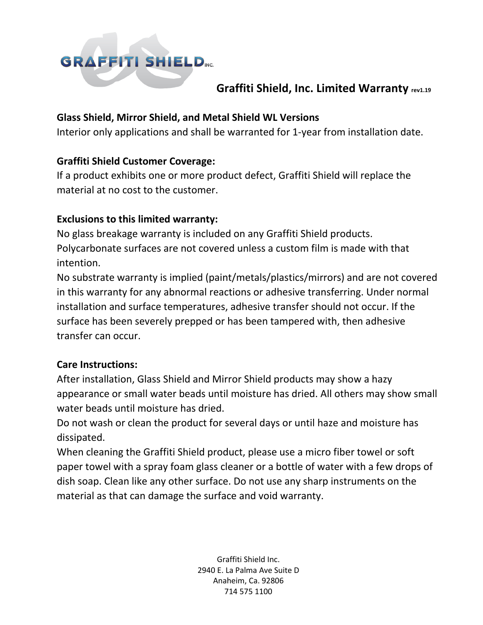

## **Graffiti Shield, Inc. Limited Warranty rev1.19**

#### **Glass Shield, Mirror Shield, and Metal Shield WL Versions**

Interior only applications and shall be warranted for 1-year from installation date.

#### **Graffiti Shield Customer Coverage:**

If a product exhibits one or more product defect, Graffiti Shield will replace the material at no cost to the customer.

#### **Exclusions to this limited warranty:**

No glass breakage warranty is included on any Graffiti Shield products. Polycarbonate surfaces are not covered unless a custom film is made with that intention.

No substrate warranty is implied (paint/metals/plastics/mirrors) and are not covered in this warranty for any abnormal reactions or adhesive transferring. Under normal installation and surface temperatures, adhesive transfer should not occur. If the surface has been severely prepped or has been tampered with, then adhesive transfer can occur.

#### **Care Instructions:**

After installation, Glass Shield and Mirror Shield products may show a hazy appearance or small water beads until moisture has dried. All others may show small water beads until moisture has dried.

Do not wash or clean the product for several days or until haze and moisture has dissipated.

When cleaning the Graffiti Shield product, please use a micro fiber towel or soft paper towel with a spray foam glass cleaner or a bottle of water with a few drops of dish soap. Clean like any other surface. Do not use any sharp instruments on the material as that can damage the surface and void warranty.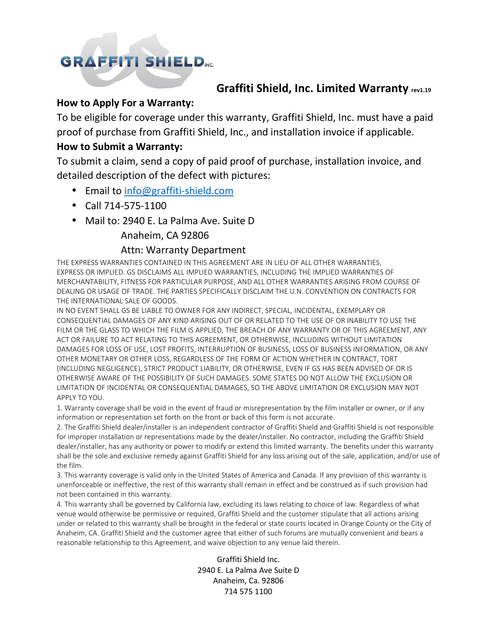## **GRAFFITI SHIELD.**

## **Graffiti Shield, Inc. Limited Warranty rev1.19**

#### **How to Apply For a Warranty:**

To be eligible for coverage under this warranty, Graffiti Shield, Inc. must have a paid proof of purchase from Graffiti Shield, Inc., and installation invoice if applicable.

#### **How to Submit a Warranty:**

To submit a claim, send a copy of paid proof of purchase, installation invoice, and detailed description of the defect with pictures:

- Email to info@graffiti-shield.com
- Call 714-575-1100
- Mail to: 2940 E. La Palma Ave. Suite D

#### Anaheim, CA 92806

#### Attn: Warranty Department

THE EXPRESS WARRANTIES CONTAINED IN THIS AGREEMENT ARE IN LIEU OF ALL OTHER WARRANTIES, EXPRESS OR IMPLIED. GS DISCLAIMS ALL IMPLIED WARRANTIES, INCLUDING THE IMPLIED WARRANTIES OF MERCHANTABILITY, FITNESS FOR PARTICULAR PURPOSE, AND ALL OTHER WARRANTIES ARISING FROM COURSE OF DEALING OR USAGE OF TRADE. THE PARTIES SPECIFICALLY DISCLAIM THE U.N. CONVENTION ON CONTRACTS FOR THE INTERNATIONAL SALE OF GOODS.

IN NO EVENT SHALL GS BE LIABLE TO OWNER FOR ANY INDIRECT, SPECIAL, INCIDENTAL, EXEMPLARY OR CONSEQUENTIAL DAMAGES OF ANY KIND ARISING OUT OF OR RELATED TO THE USE OF OR INABILITY TO USE THE FILM OR THE GLASS TO WHICH THE FILM IS APPLIED, THE BREACH OF ANY WARRANTY OR OF THIS AGREEMENT, ANY ACT OR FAILURE TO ACT RELATING TO THIS AGREEMENT, OR OTHERWISE, INCLUDING WITHOUT LIMITATION DAMAGES FOR LOSS OF USE, LOST PROFITS, INTERRUPTION OF BUSINESS, LOSS OF BUSINESS INFORMATION, OR ANY OTHER MONETARY OR OTHER LOSS, REGARDLESS OF THE FORM OF ACTION WHETHER IN CONTRACT, TORT (INCLUDING NEGLIGENCE), STRICT PRODUCT LIABILITY, OR OTHERWISE, EVEN IF GS HAS BEEN ADVISED OF OR IS OTHERWISE AWARE OF THE POSSIBILITY OF SUCH DAMAGES. SOME STATES DO NOT ALLOW THE EXCLUSION OR LIMITATION OF INCIDENTAL OR CONSEQUENTIAL DAMAGES, SO THE ABOVE LIMITATION OR EXCLUSION MAY NOT APPLY TO YOU.

1. Warranty coverage shall be void in the event of fraud or misrepresentation by the film installer or owner, or if any information or representation set forth on the front or back of this form is not accurate.

2. The Graffiti Shield dealer/installer is an independent contractor of Graffiti Shield and Graffiti Shield is not responsible for improper installation or representations made by the dealer/installer. No contractor, including the Graffiti Shield dealer/installer, has any authority or power to modify or extend this limited warranty. The benefits under this warranty shall be the sole and exclusive remedy against Graffiti Shield for any loss arising out of the sale, application, and/or use of the film.

3. This warranty coverage is valid only in the United States of America and Canada. If any provision of this warranty is unenforceable or ineffective, the rest of this warranty shall remain in effect and be construed as if such provision had not been contained in this warranty.

4. This warranty shall be governed by California law, excluding its laws relating to choice of law. Regardless of what venue would otherwise be permissive or required, Graffiti Shield and the customer stipulate that all actions arising under or related to this warranty shall be brought in the federal or state courts located in Orange County or the City of Anaheim, CA. Graffiti Shield and the customer agree that either of such forums are mutually convenient and bears a reasonable relationship to this Agreement, and waive objection to any venue laid therein.